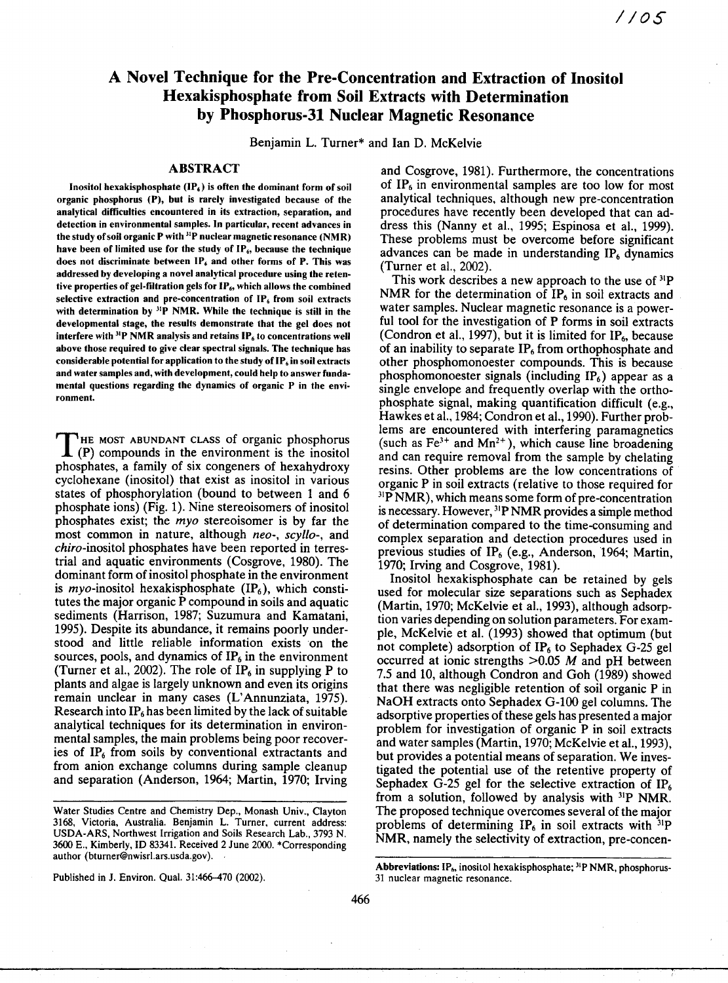# A Novel Technique for the Pre-Concentration and Extraction of Inositol Hexakisphosphate from Soil Extracts with Determination by Phosphorus-31 Nuclear Magnetic Resonance

Benjamin L. Turner\* and Ian D. McKelvie

## **ABSTRACT**

Inositol hexakisphosphate  $(\mathbf{IP}_6)$  is often the dominant form of soil organic phosphorus (P), but is rarely investigated because of the analytical difficulties encountered in its extraction, separation, and detection in environmental samples. In particular, recent advances in the study of soil organic  $P$  with  ${}^{31}P$  nuclear magnetic resonance (NMR) have been of limited use for the study of IP<sub>6</sub>, because the technique does not discriminate between  $IP<sub>6</sub>$  and other forms of P. This was addressed by developing a novel analytical procedure using the retentive properties of gel-filtration gels for  $IP_6$ , which allows the combined selective extraction and pre-concentration of  $IP<sub>6</sub>$  from soil extracts with determination by  $31P$  NMR. While the technique is still in the developmental stage, the results demonstrate that the gel does not interfere with  $31P$  NMR analysis and retains  $IP<sub>6</sub>$  to concentrations well above those required to give clear spectral signals. The technique has considerable potential for application to the study of  $IP_6$  in soil extracts and water samples and, with development, could help to answer fundamental questions regarding the dynamics of organic P in the environment.

THE MOST ABUNDANT CLASS of organic phosphorus<br>  $(P)$  compounds in the environment is the inositol HE MOST ABUNDANT CLASS of organic phosphorus phosphates, a family of six congeners of hexahydroxy cyclohexane (inositol) that exist as inositol in various states of phosphorylation (bound to between 1 and 6 phosphate ions) (Fig. 1). Nine stereoisomers of inositol phosphates exist; the *myo* stereoisomer is by far the most common in nature, although neo-, scyllo-, and chiro-inositol phosphates have been reported in terrestrial and aquatic environments (Cosgrove, 1980). The dominant form of inositol phosphate in the environment is myo-inositol hexakisphosphate  $(\text{IP}_6)$ , which constitutes the major organic P compound in soils and aquatic sediments (Harrison, 1987; Suzumura and Kamatani, 1995). Despite its abundance, it remains poorly understood and little reliable information exists on the sources, pools, and dynamics of  $IP<sub>6</sub>$  in the environment (Turner et al., 2002). The role of  $IP_6$  in supplying P to plants and algae is largely unknown and even its origins remain unclear in many cases (L'Annunziata, 1975). Research into  $IP<sub>6</sub>$  has been limited by the lack of suitable analytical techniques for its determination in environmental samples, the main problems being poor recoveries of  $IP<sub>6</sub>$  from soils by conventional extractants and from anion exchange columns during sample cleanup and separation (Anderson, 1964; Martin, 1970; Irving

Published in J. Environ. Qual. 31:466-470 (2002).

and Cosgrove, 1981). Furthermore, the concentrations of  $IP<sub>6</sub>$  in environmental samples are too low for most analytical techniques, although new pre-concentration procedures have recently been developed that can address this (Nanny et al., 1995; Espinosa et al., 1999). These problems must be overcome before significant advances can be made in understanding  $IP<sub>6</sub>$  dynamics (Turner et al., 2002).

This work describes a new approach to the use of  $31P$ NMR for the determination of  $IP<sub>6</sub>$  in soil extracts and water samples. Nuclear magnetic resonance is a powerful tool for the investigation of P forms in soil extracts (Condron et al., 1997), but it is limited for  $IP_6$ , because of an inability to separate  $IP<sub>6</sub>$  from orthophosphate and other phosphomonoester compounds. This is because phosphomonoester signals (including  $IP_6$ ) appear as a single envelope and frequently overlap with the orthophosphate signal, making quantification difficult (e.g., Hawkes et al., 1984; Condron et al., 1990). Further problems are encountered with interfering paramagnetics (such as  $Fe<sup>3+</sup>$  and  $Mn<sup>2+</sup>$ ), which cause line broadening and can require removal from the sample by chelating resins. Other problems are the low concentrations of organic P in soil extracts (relative to those required for <sup>31</sup>P NMR), which means some form of pre-concentration is necessary. However, <sup>31</sup>P NMR provides a simple method of determination compared to the time-consuming and complex separation and detection procedures used in previous studies of IP<sub>6</sub> (e.g., Anderson, 1964; Martin, 1970; Irving and Cosgrove, 1981).

Inositol hexakisphosphate can be retained by gels used for molecular size separations such as Sephadex (Martin, 1970; McKelvie et al., 1993), although adsorption varies depending on solution parameters. For example, McKelvie et al. (1993) showed that optimum (but not complete) adsorption of  $IP<sub>6</sub>$  to Sephadex G-25 gel occurred at ionic strengths >0.05 *M* and pH between 7.5 and 10, although Condron and Goh (1989) showed that there was negligible retention of soil organic P in NaOH extracts onto Sephadex G-100 gel columns. The adsorptive properties of these gels has presented a major problem for investigation of organic P in soil extracts and water samples (Martin, 1970; McKelvie et al., 1993), but provides a potential means of separation. We investigated the potential use of the retentive property of Sephadex G-25 gel for the selective extraction of  $IP<sub>6</sub>$ from a solution, followed by analysis with <sup>31</sup>P NMR. The proposed technique overcomes several of the major problems of determining  $IP_6$  in soil extracts with  $^{31}P$ NMR, namely the selectivity of extraction, pre-concen-

Water Studies Centre and Chemistry Dep., Monash Univ., Clayton 3168, Victoria, Australia. Benjamin L. Turner, current address: USDA-ARS, Northwest Irrigation and Soils Research Lab., 3793 N. 3600 E., Kimberly, ID 83341. Received 2 June 2000. \*Corresponding author (bturner@nwisrl.ars.usda.gov).

Abbreviations: IP<sub>6</sub>, inositol hexakisphosphate; <sup>31</sup>P NMR, phosphorus-31 nuclear magnetic resonance.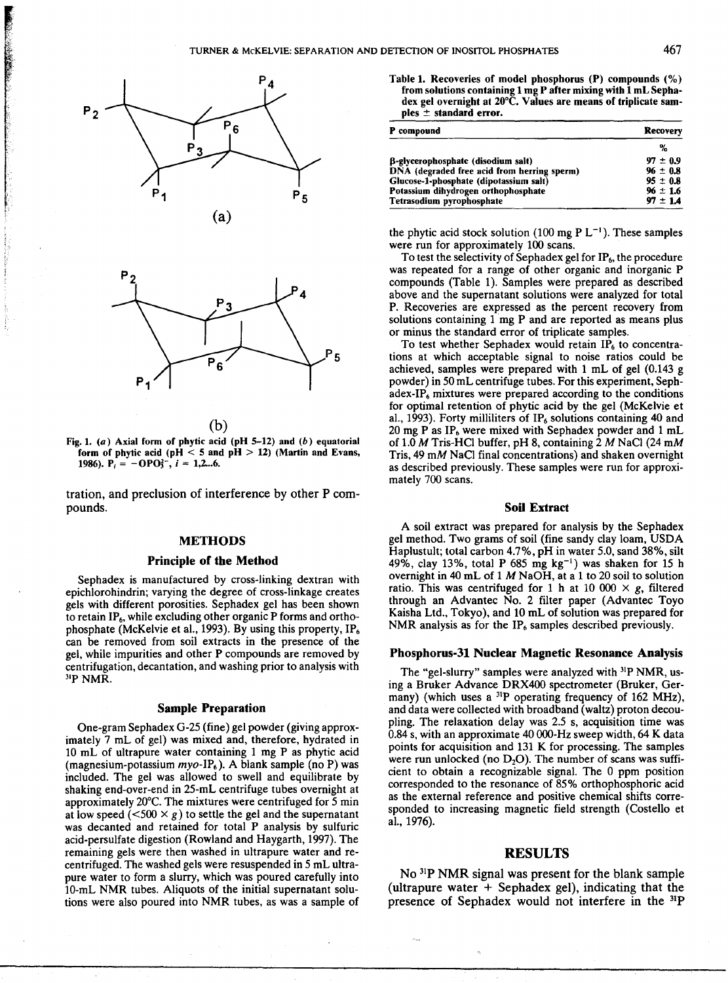

**CONTROLLER** 



- (b)
- Fig. 1. *(a)* Axial form **of phytic acid (pH 5-12)** and *(b)* equatorial form of phytic acid ( $pH < 5$  and  $pH > 12$ ) (Martin and Evans, **1986).**  $P_i = -OPO_3^2$ ,  $i = 1,2...6$ .

tration, and preclusion of interference by other P compounds.

#### **METHODS**

## **Principle of the Method**

Sephadex is manufactured by cross-linking dextran with epichlorohindrin; varying the degree of cross-linkage creates gels with different porosities. Sephadex gel has been shown to retain  $IP_6$ , while excluding other organic P forms and orthophosphate (McKelvie et al., 1993). By using this property,  $IP<sub>6</sub>$ can be removed from soil extracts in the presence of the gel, while impurities and other P compounds are removed by centrifugation, decantation, and washing prior to analysis with ''P NMR.

#### **Sample Preparation**

One-gram Sephadex G-25 (fine) gel powder (giving approximately 7 mL of gel) was mixed and, therefore, hydrated in 10 mL of ultrapure water containing 1 mg P as phytic acid (magnesium-potassium  $myo-IP<sub>6</sub>$ ). A blank sample (no P) was included. The gel was allowed to swell and equilibrate by shaking end-over-end in 25-mL centrifuge tubes overnight at approximately 20°C. The mixtures were centrifuged for 5 min at low speed  $(<500 \times g$ ) to settle the gel and the supernatant was decanted and retained for total P analysis by sulfuric acid-persulfate digestion (Rowland and Haygarth, 1997). The remaining gels were then washed in ultrapure water and recentrifuged. The washed gels were resuspended in 5 mL ultrapure water to form a slurry, which was poured carefully into 10-mL NMR tubes. Aliquots of the initial supernatant solutions were also poured into NMR tubes, as was a sample of

Table 1. Recoveries of model phosphorus (P) compounds (%) from solutions containing 1 mg P after mixing with 1 mL Sephadex gel overnight at 20°C. Values are means of triplicate samples ± standard error.

| P compound                                  | Recovery     |
|---------------------------------------------|--------------|
|                                             | %            |
| B-glycerophosphate (disodium salt)          | $97 \pm 0.9$ |
| DNA (degraded free acid from herring sperm) | $96 \pm 0.8$ |
| Glucose-1-phosphate (dipotassium salt)      | $95 \pm 0.8$ |
| Potassium dihydrogen orthophosphate         | $96 = 1.6$   |
| Tetrasodium pyrophosphate                   | $97 \pm 1.4$ |

the phytic acid stock solution (100 mg  $PL^{-1}$ ). These samples were run for approximately 100 scans.

To test the selectivity of Sephadex gel for  $IP_6$ , the procedure was repeated for a range of other organic and inorganic P compounds (Table 1). Samples were prepared as described above and the supernatant solutions were analyzed for total P. Recoveries are expressed as the percent recovery from solutions containing 1 mg P and are reported as means plus or minus the standard error of triplicate samples.

To test whether Sephadex would retain  $IP<sub>6</sub>$  to concentrations at which acceptable signal to noise ratios could be achieved, samples were prepared with 1 mL of gel (0.143 g powder) in 50 mL centrifuge tubes. For this experiment, Seph $adex-IP<sub>6</sub>$  mixtures were prepared according to the conditions for optimal retention of phytic acid by the gel (McKelvie et al., 1993). Forty milliliters of  $IP<sub>6</sub>$  solutions containing 40 and 20 mg P as  $IP<sub>6</sub>$  were mixed with Sephadex powder and 1 mL of 1.0 *M* Tris-HC1 buffer, pH 8, containing 2 *M* NaCI (24 mM Tris, 49 mM NaC1 final concentrations) and shaken overnight as described previously. These samples were run for approximately 700 scans.

### **Soil Extract**

A soil extract was prepared for analysis by the Sephadex gel method. Two grams of soil (fine sandy clay loam, USDA Haplustult; total carbon 4.7%, pH in water 5.0, sand 38%, silt 49%, clay 13%, total P 685 mg  $kg^{-1}$ ) was shaken for 15 h overnight in 40 mL of 1 *M* NaOH, at a 1 to 20 soil to solution ratio. This was centrifuged for 1 h at 10 000  $\times$  g, filtered through an Advantec No. 2 filter paper (Advantec Toyo Kaisha Ltd., Tokyo), and 10 mL of solution was prepared for NMR analysis as for the  $IP<sub>6</sub>$  samples described previously.

## **Phosphorus-31 Nuclear Magnetic Resonance Analysis**

The "gel-slurry" samples were analyzed with <sup>31</sup>P NMR, using a Bruker Advance DRX400 spectrometer (Bruker, Germany) (which uses a  $^{31}P$  operating frequency of 162 MHz), and data were collected with broadband (waltz) proton decoupling. The relaxation delay was 2.5 s, acquisition time was 0.84 s, with an approximate 40 000-Hz sweep width, 64 K data points for acquisition and 131 K for processing. The samples were run unlocked (no  $D_2O$ ). The number of scans was sufficient to obtain a recognizable signal. The 0 ppm position corresponded to the resonance of 85% orthophosphoric acid as the external reference and positive chemical shifts corresponded to increasing magnetic field strength (Costello et al., 1976).

# **RESULTS**

No <sup>31</sup>P NMR signal was present for the blank sample (ultrapure water  $+$  Sephadex gel), indicating that the presence of Sephadex would not interfere in the 31P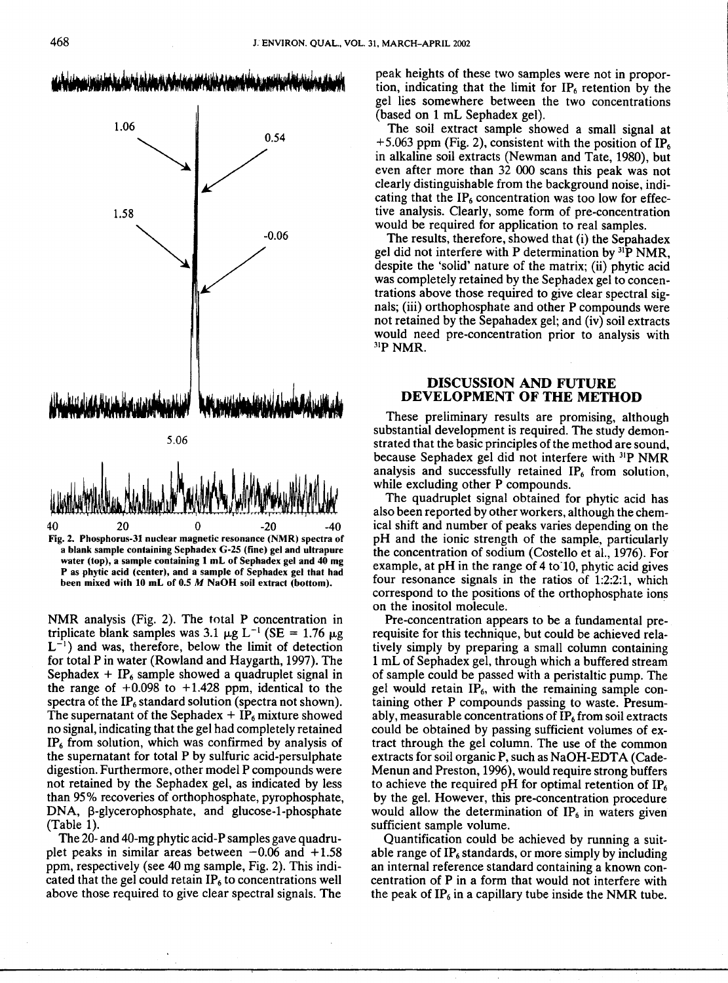

**a blank sample containing Sephadex G-25 (fine) gel and ultrapure water (top), a sample containing 1 mL of Sephadex gel and 40 mg P as phytic acid (center), and a sample of Sephadex gel that had been mixed with 10 mL of 0.5 M NaOH soil extract (bottom).**

NMR analysis (Fig. 2). The total P concentration in triplicate blank samples was 3.1  $\mu$ g L<sup>-1</sup> (SE = 1.76  $\mu$ g  $L^{-1}$ ) and was, therefore, below the limit of detection for total P in water (Rowland and Haygarth, 1997). The Sephadex +  $IP<sub>6</sub>$  sample showed a quadruplet signal in the range of  $+0.098$  to  $+1.428$  ppm, identical to the spectra of the  $IP<sub>6</sub>$  standard solution (spectra not shown). The supernatant of the Sephadex  $+$  IP<sub>6</sub> mixture showed no signal, indicating that the gel had completely retained  $IP<sub>6</sub>$  from solution, which was confirmed by analysis of the supernatant for total P by sulfuric acid-persulphate digestion. Furthermore, other model P compounds were not retained by the Sephadex gel, as indicated by less than 95% recoveries of orthophosphate, pyrophosphate, DNA, β-glycerophosphate, and glucose-1-phosphate (Table 1).

The 20- and 40-mg phytic acid-P samples gave quadruplet peaks in similar areas between  $-0.06$  and  $+1.58$ ppm, respectively (see 40 mg sample, Fig. 2). This indicated that the gel could retain  $IP<sub>6</sub>$  to concentrations well above those required to give clear spectral signals. The

peak heights of these two samples were not in proportion, indicating that the limit for  $IP<sub>6</sub>$  retention by the gel lies somewhere between the two concentrations (based on 1 mL Sephadex gel).

The soil extract sample showed a small signal at +5.063 ppm (Fig. 2), consistent with the position of IP<sub>6</sub> in alkaline soil extracts (Newman and Tate, 1980), but even after more than 32 000 scans this peak was not clearly distinguishable from the background noise, indicating that the  $IP<sub>6</sub>$  concentration was too low for effective analysis. Clearly, some form of pre-concentration would be required for application to real samples.

The results, therefore, showed that (i) the Sepahadex gel did not interfere with P determination by  $31\overline{P}$  NMR, despite the 'solid' nature of the matrix; (ii) phytic acid was completely retained by the Sephadex gel to concentrations above those required to give clear spectral signals; (iii) orthophosphate and other P compounds were not retained by the Sepahadex gel; and (iv) soil extracts would need pre-concentration prior to analysis with  $31P$  NMR.

# **DISCUSSION AND FUTURE DEVELOPMENT OF THE METHOD**

These preliminary results are promising, although substantial development is required. The study demonstrated that the basic principles of the method are sound, because Sephadex gel did not interfere with 3IP NMR analysis and successfully retained  $IP<sub>6</sub>$  from solution, while excluding other P compounds.

The quadruplet signal obtained for phytic acid has also been reported by other workers, although the chemical shift and number of peaks varies depending on the pH and the ionic strength of the sample, particularly the concentration of sodium (Costello et al., 1976). For example, at  $pH$  in the range of 4 to 10, phytic acid gives four resonance signals in the ratios of 1:2:2:1, which correspond to the positions of the orthophosphate ions on the inositol molecule.

Pre-concentration appears to be a fundamental prerequisite for this technique, but could be achieved relatively simply by preparing a small column containing 1 mL of Sephadex gel, through which a buffered stream of sample could be passed with a peristaltic pump. The gel would retain  $IP_6$ , with the remaining sample containing other P compounds passing to waste. Presumably, measurable concentrations of  $IP<sub>6</sub>$  from soil extracts could be obtained by passing sufficient volumes of extract through the gel column. The use of the common extracts for soil organic P, such as NaOH-EDTA (Cade-Menun and Preston, 1996), would require strong buffers to achieve the required pH for optimal retention of  $IP<sub>6</sub>$ by the gel. However, this pre-concentration procedure would allow the determination of  $IP<sub>6</sub>$  in waters given sufficient sample volume.

Quantification could be achieved by running a suitable range of  $IP<sub>6</sub>$  standards, or more simply by including an internal reference standard containing a known concentration of P in a form that would not interfere with the peak of  $IP_6$  in a capillary tube inside the NMR tube.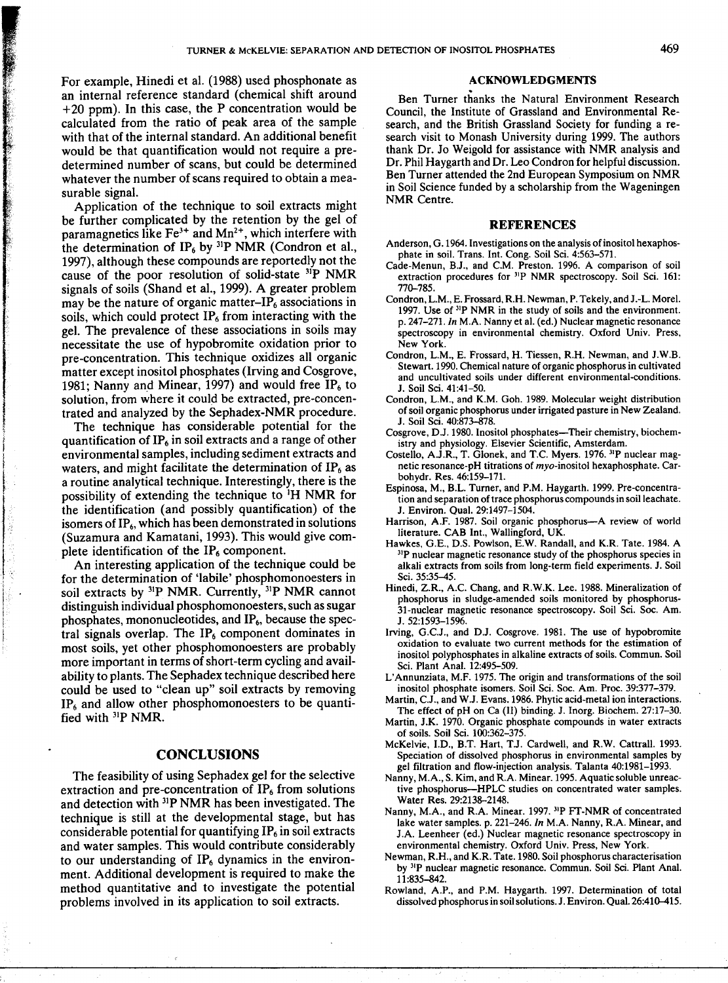For example, Hinedi et al. (1988) used phosphonate as an internal reference standard (chemical shift around +20 ppm). In this case, the P concentration would be calculated from the ratio of peak area of the sample with that of the internal standard. An additional benefit would be that quantification would not require a predetermined number of scans, but could be determined whatever the number of scans required to obtain a measurable signal.

Application of the technique to soil extracts might be further complicated by the retention by the gel of paramagnetics like  $Fe<sup>3+</sup>$  and  $Mn<sup>2+</sup>$ , which interfere with the determination of  $IP_6$  by <sup>31</sup>P NMR (Condron et al., 1997), although these compounds are reportedly not the cause of the poor resolution of solid-state  $31P$  NMR signals of soils (Shand et al., 1999). A greater problem may be the nature of organic matter-IP<sub>6</sub> associations in soils, which could protect  $IP<sub>6</sub>$  from interacting with the gel. The prevalence of these associations in soils may necessitate the use of hypobromite oxidation prior to pre-concentration. This technique oxidizes all organic matter except inositol phosphates (Irving and Cosgrove, 1981; Nanny and Minear, 1997) and would free IP<sub>6</sub> to solution, from where it could be extracted, pre-concentrated and analyzed by the Sephadex-NMR procedure.

The technique has considerable potential for the quantification of IP<sub>6</sub> in soil extracts and a range of other environmental samples, including sediment extracts and waters, and might facilitate the determination of  $IP<sub>6</sub>$  as a routine analytical technique. Interestingly, there is the possibility of extending the technique to 'H NMR for the identification (and possibly quantification) of the isomers of  $IP_6$ , which has been demonstrated in solutions (Suzamura and Kamatani, 1993). This would give complete identification of the  $IP<sub>6</sub>$  component.

An interesting application of the technique could be for the determination of 'labile' phosphomonoesters in soil extracts by  $3^{1}P$  NMR. Currently,  $3^{1}P$  NMR cannot distinguish individual phosphomonoesters, such as sugar phosphates, mononucleotides, and IP<sub>6</sub>, because the spectral signals overlap. The  $IP_6$  component dominates in most soils, yet other phosphomonoesters are probably more important in terms of short-term cycling and availability to plants. The Sephadex technique described here could be used to "clean up" soil extracts by removing  $IP<sub>6</sub>$  and allow other phosphomonoesters to be quantified with  $3<sup>1</sup>P$  NMR.

# **CONCLUSIONS**

The feasibility of using Sephadex gel for the selective extraction and pre-concentration of  $IP<sub>6</sub>$  from solutions and detection with <sup>31</sup>P NMR has been investigated. The technique is still at the developmental stage, but has considerable potential for quantifying  $IP_6$  in soil extracts and water samples. This would contribute considerably to our understanding of  $IP<sub>6</sub>$  dynamics in the environment. Additional development is required to make the method quantitative and to investigate the potential problems involved in its application to soil extracts.

## ACKNOWLEDGMENTS

Ben Turner thanks the Natural Environment Research Council, the Institute of Grassland and Environmental Research, and the British Grassland Society for funding a research visit to Monash University during 1999. The authors thank Dr. Jo Weigold for assistance with NMR analysis and Dr. Phil Haygarth and Dr. Leo Condron for helpful discussion. Ben Turner attended the 2nd European Symposium on NMR in Soil Science funded by a scholarship from the Wageningen NMR Centre.

#### **REFERENCES**

- Anderson, G.1964. Investigations on the analysis of inositol hexaphosphate in soil. Trans. Int. Cong. Soil Sci. 4:563-571.
- Cade-Menun, B.J., and C.M. Preston. 1996. A comparison of soil extraction procedures for <sup>31</sup>P NMR spectroscopy. Soil Sci. 161: 770-785.
- Condron, L.M., E. Frossard, R.H. Newman, P. Tekely, and J.-L. Morel. 1997. Use of <sup>31</sup>P NMR in the study of soils and the environment. p. 247-271. *In* M.A. Nanny et al. (ed.) Nuclear magnetic resonance spectroscopy in environmental chemistry. Oxford Univ. Press, New York.
- Condron, L.M., E. Frossard, H. Tiessen, R.H. Newman, and J.W.B. Stewart. 1990. Chemical nature of organic phosphorus in cultivated and uncultivated soils under different environmental-conditions. J. Soil Sci. 41:41-50.
- Condron, L.M., and K.M. Goh. 1989. Molecular weight distribution of soil organic phosphorus under irrigated pasture in New Zealand. J. Soil Sci. 40:873-878.
- Cosgrove, D.J. 1980. Inositol phosphates-Their chemistry, biochemistry and physiology. Elsevier Scientific, Amsterdam.
- Costello, A.J.R., T. Glonek, and T.C. Myers. 1976. <sup>31</sup>P nuclear magnetic resonance-pH titrations of myo-inositol hexaphosphate. Carbohydr. Res. 46:159-171.
- Espinosa, M., B.L. Turner, and P.M. Haygarth. 1999. Pre-concentration and separation of trace phosphorus compounds in soil leachate. J. Environ. Qual. 29:1497-1504.
- Harrison, A.F. 1987. Soil organic phosphorus-A review of world literature. CAB Int., Wallingford, UK.
- Hawkes, G.E., D.S. Powison, E.W. Randall, and K.R. Tate. 1984. A <sup>31</sup>P nuclear magnetic resonance study of the phosphorus species in alkali extracts from soils from long-term field experiments. J. Soil Sci. 35:35-45.
- Hinedi, Z.R., A.C. Chang, and R.W.K. Lee. 1988. Mineralization of phosphorus in sludge-amended soils monitored by phosphorus-31-nuclear magnetic resonance spectroscopy. Soil Sci. Soc. Am. J. 52:1593-1596.
- Irving, G.C.J., and D.J. Cosgrove. 1981. The use of hypobromite oxidation to evaluate two current methods for the estimation of inositol polyphosphates in alkaline extracts of soils. Commun. Soil Sci. Plant Anal. 12:495-509.
- L'Annunziata, M.F. 1975. The origin and transformations of the soil inositol phosphate isomers. Soil Sci. Soc. Am. Proc. 39:377-379.
- Martin, C.J., and W.J. Evans. 1986. Phytic acid-metal ion interactions. The effect of pH on Ca (II) binding. J. Inorg. Biochem. 27:17-30.
- Martin, J.K. 1970. Organic phosphate compounds in water extracts of soils. Soil Sci. 100:362-375.
- McKelvie, I.D., B.T. Hart, T.J. Cardwell, and R.W. Cattrall. 1993. Speciation of dissolved phosphorus in environmental samples by gel filtration and flow-injection analysis. Talanta 40:1981-1993.
- Nanny, M.A., S. Kim, and R.A. Minear. 1995. Aquatic soluble unreactive phosphorus-HPLC studies on concentrated water samples. Water Res. 29:2138-2148.
- Nanny, M.A., and R.A. Minear. 1997. <sup>31</sup>P FT-NMR of concentrated lake water samples. p. 221-246. *In* M.A. Nanny, R.A. Minear, and J.A. Leenheer (ed.) Nuclear magnetic resonance spectroscopy in environmental chemistry. Oxford Univ. Press, New York.
- Newman, R.H., and K.R. Tate. 1980. Soil phosphorus characterisation by <sup>31</sup>P nuclear magnetic resonance. Commun. Soil Sci. Plant Anal. 11:835-842.
- Rowland, A.P., and P.M. Haygarth. 1997. Determination of total dissolved phosphorus in soil solutions. J. Environ. Qual. 26:410-415.